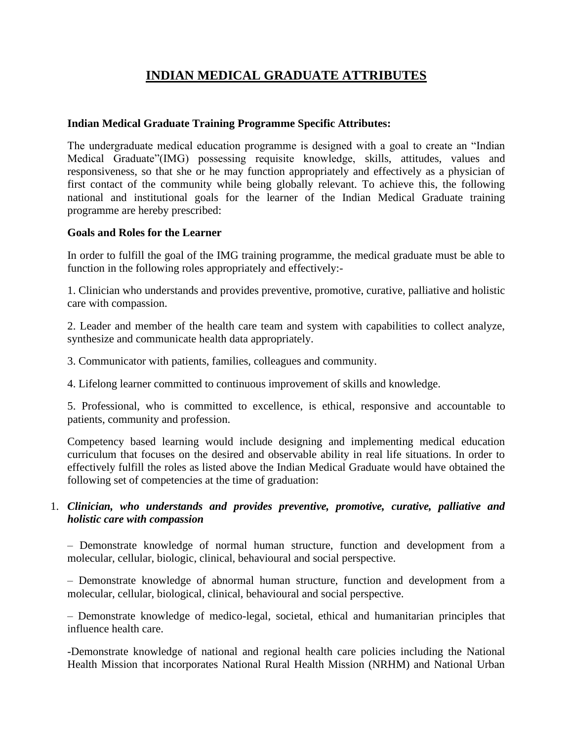# **INDIAN MEDICAL GRADUATE ATTRIBUTES**

#### **Indian Medical Graduate Training Programme Specific Attributes:**

The undergraduate medical education programme is designed with a goal to create an "Indian Medical Graduate"(IMG) possessing requisite knowledge, skills, attitudes, values and responsiveness, so that she or he may function appropriately and effectively as a physician of first contact of the community while being globally relevant. To achieve this, the following national and institutional goals for the learner of the Indian Medical Graduate training programme are hereby prescribed:

#### **Goals and Roles for the Learner**

In order to fulfill the goal of the IMG training programme, the medical graduate must be able to function in the following roles appropriately and effectively:-

1. Clinician who understands and provides preventive, promotive, curative, palliative and holistic care with compassion.

2. Leader and member of the health care team and system with capabilities to collect analyze, synthesize and communicate health data appropriately.

3. Communicator with patients, families, colleagues and community.

4. Lifelong learner committed to continuous improvement of skills and knowledge.

5. Professional, who is committed to excellence, is ethical, responsive and accountable to patients, community and profession.

Competency based learning would include designing and implementing medical education curriculum that focuses on the desired and observable ability in real life situations. In order to effectively fulfill the roles as listed above the Indian Medical Graduate would have obtained the following set of competencies at the time of graduation:

### 1. *Clinician, who understands and provides preventive, promotive, curative, palliative and holistic care with compassion*

– Demonstrate knowledge of normal human structure, function and development from a molecular, cellular, biologic, clinical, behavioural and social perspective.

– Demonstrate knowledge of abnormal human structure, function and development from a molecular, cellular, biological, clinical, behavioural and social perspective.

– Demonstrate knowledge of medico-legal, societal, ethical and humanitarian principles that influence health care.

-Demonstrate knowledge of national and regional health care policies including the National Health Mission that incorporates National Rural Health Mission (NRHM) and National Urban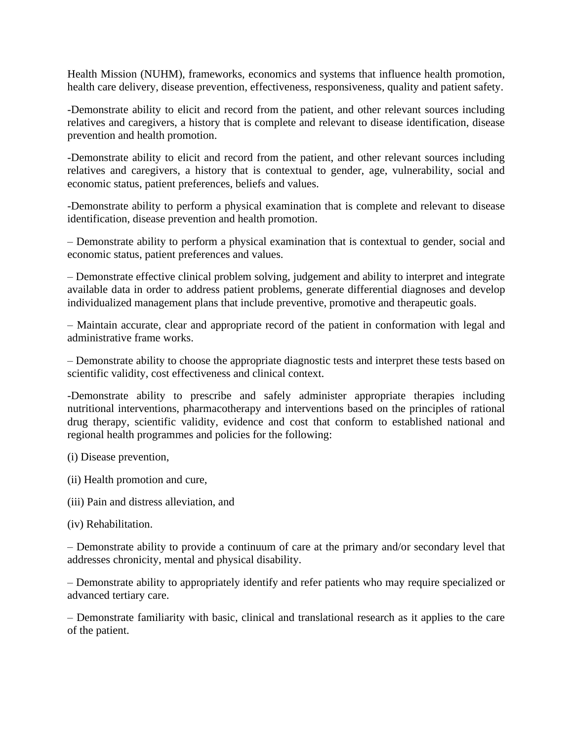Health Mission (NUHM), frameworks, economics and systems that influence health promotion, health care delivery, disease prevention, effectiveness, responsiveness, quality and patient safety.

-Demonstrate ability to elicit and record from the patient, and other relevant sources including relatives and caregivers, a history that is complete and relevant to disease identification, disease prevention and health promotion.

-Demonstrate ability to elicit and record from the patient, and other relevant sources including relatives and caregivers, a history that is contextual to gender, age, vulnerability, social and economic status, patient preferences, beliefs and values.

-Demonstrate ability to perform a physical examination that is complete and relevant to disease identification, disease prevention and health promotion.

– Demonstrate ability to perform a physical examination that is contextual to gender, social and economic status, patient preferences and values.

– Demonstrate effective clinical problem solving, judgement and ability to interpret and integrate available data in order to address patient problems, generate differential diagnoses and develop individualized management plans that include preventive, promotive and therapeutic goals.

– Maintain accurate, clear and appropriate record of the patient in conformation with legal and administrative frame works.

– Demonstrate ability to choose the appropriate diagnostic tests and interpret these tests based on scientific validity, cost effectiveness and clinical context.

-Demonstrate ability to prescribe and safely administer appropriate therapies including nutritional interventions, pharmacotherapy and interventions based on the principles of rational drug therapy, scientific validity, evidence and cost that conform to established national and regional health programmes and policies for the following:

(i) Disease prevention,

- (ii) Health promotion and cure,
- (iii) Pain and distress alleviation, and
- (iv) Rehabilitation.

– Demonstrate ability to provide a continuum of care at the primary and/or secondary level that addresses chronicity, mental and physical disability.

– Demonstrate ability to appropriately identify and refer patients who may require specialized or advanced tertiary care.

– Demonstrate familiarity with basic, clinical and translational research as it applies to the care of the patient.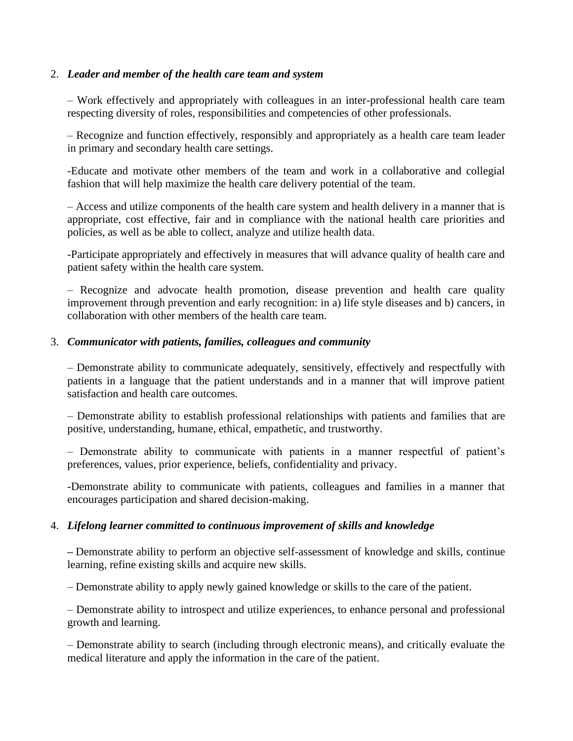#### 2. *Leader and member of the health care team and system*

– Work effectively and appropriately with colleagues in an inter-professional health care team respecting diversity of roles, responsibilities and competencies of other professionals.

– Recognize and function effectively, responsibly and appropriately as a health care team leader in primary and secondary health care settings.

-Educate and motivate other members of the team and work in a collaborative and collegial fashion that will help maximize the health care delivery potential of the team.

– Access and utilize components of the health care system and health delivery in a manner that is appropriate, cost effective, fair and in compliance with the national health care priorities and policies, as well as be able to collect, analyze and utilize health data.

-Participate appropriately and effectively in measures that will advance quality of health care and patient safety within the health care system.

– Recognize and advocate health promotion, disease prevention and health care quality improvement through prevention and early recognition: in a) life style diseases and b) cancers, in collaboration with other members of the health care team.

#### 3. *Communicator with patients, families, colleagues and community*

– Demonstrate ability to communicate adequately, sensitively, effectively and respectfully with patients in a language that the patient understands and in a manner that will improve patient satisfaction and health care outcomes.

– Demonstrate ability to establish professional relationships with patients and families that are positive, understanding, humane, ethical, empathetic, and trustworthy.

– Demonstrate ability to communicate with patients in a manner respectful of patient's preferences, values, prior experience, beliefs, confidentiality and privacy.

-Demonstrate ability to communicate with patients, colleagues and families in a manner that encourages participation and shared decision-making.

#### 4. *Lifelong learner committed to continuous improvement of skills and knowledge*

*–* Demonstrate ability to perform an objective self-assessment of knowledge and skills, continue learning, refine existing skills and acquire new skills.

– Demonstrate ability to apply newly gained knowledge or skills to the care of the patient.

– Demonstrate ability to introspect and utilize experiences, to enhance personal and professional growth and learning.

– Demonstrate ability to search (including through electronic means), and critically evaluate the medical literature and apply the information in the care of the patient.